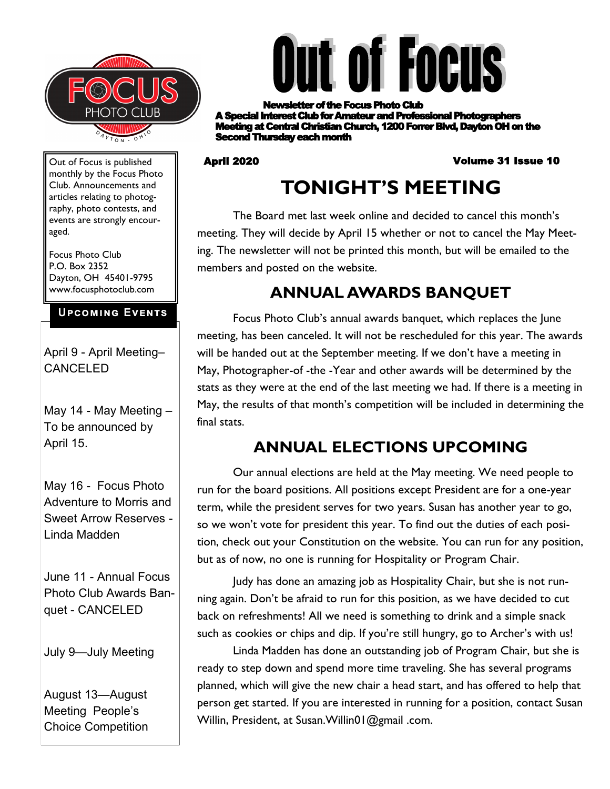



**etter of the Focus Photo Club** A Special Interest Club for Amateur and Professional Photographers **Meeting at Central Christian Church, 1200 Forrer Blvd, Dayton OH on the** Second Thursday each month

#### April 2020 Volume 31 Issue 10

# **TONIGHT'S MEETING**

The Board met last week online and decided to cancel this month's meeting. They will decide by April 15 whether or not to cancel the May Meeting. The newsletter will not be printed this month, but will be emailed to the members and posted on the website.

# **ANNUAL AWARDS BANQUET**

Focus Photo Club's annual awards banquet, which replaces the June meeting, has been canceled. It will not be rescheduled for this year. The awards will be handed out at the September meeting. If we don't have a meeting in May, Photographer-of -the -Year and other awards will be determined by the stats as they were at the end of the last meeting we had. If there is a meeting in May, the results of that month's competition will be included in determining the final stats.

# **ANNUAL ELECTIONS UPCOMING**

Our annual elections are held at the May meeting. We need people to run for the board positions. All positions except President are for a one-year term, while the president serves for two years. Susan has another year to go, so we won't vote for president this year. To find out the duties of each position, check out your Constitution on the website. You can run for any position, but as of now, no one is running for Hospitality or Program Chair.

Judy has done an amazing job as Hospitality Chair, but she is not running again. Don't be afraid to run for this position, as we have decided to cut back on refreshments! All we need is something to drink and a simple snack such as cookies or chips and dip. If you're still hungry, go to Archer's with us!

Linda Madden has done an outstanding job of Program Chair, but she is ready to step down and spend more time traveling. She has several programs planned, which will give the new chair a head start, and has offered to help that person get started. If you are interested in running for a position, contact Susan Willin, President, at Susan.Willin01@gmail .com.

Out of Focus is published monthly by the Focus Photo Club. Announcements and articles relating to photography, photo contests, and events are strongly encouraged.

Focus Photo Club P.O. Box 2352 Dayton, OH 45401-9795 www.focusphotoclub.com

#### **Upcoming Events**

April 9 - April Meeting– CANCELED

May 14 - May Meeting – To be announced by April 15.

May 16 - Focus Photo Adventure to Morris and Sweet Arrow Reserves - Linda Madden

June 11 - Annual Focus Photo Club Awards Banquet - CANCELED

July 9—July Meeting

August 13—August Meeting People's Choice Competition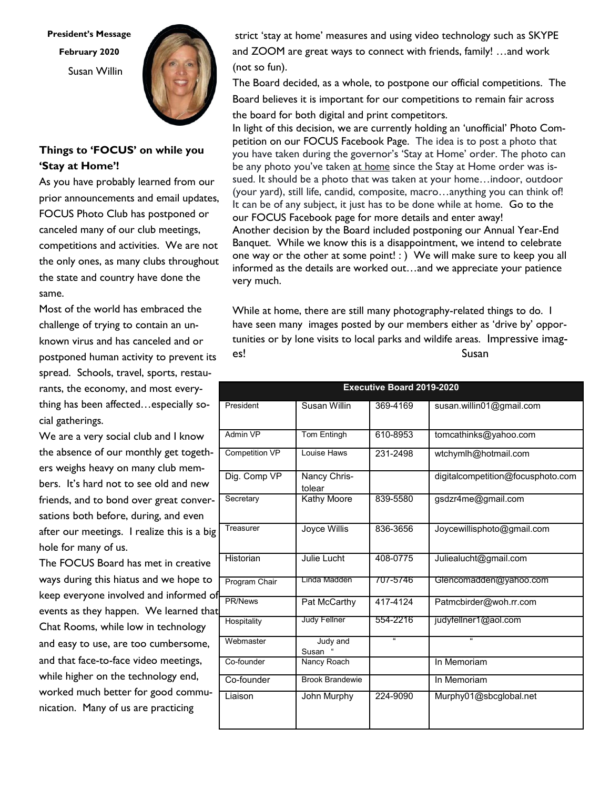**President's Message February 2020** Susan Willin



#### **Things to 'FOCUS' on while you 'Stay at Home'!**

As you have probably learned from our prior announcements and email updates, FOCUS Photo Club has postponed or canceled many of our club meetings, competitions and activities. We are not the only ones, as many clubs throughout the state and country have done the same.

Most of the world has embraced the challenge of trying to contain an unknown virus and has canceled and or postponed human activity to prevent its spread. Schools, travel, sports, restaurants, the economy, and most everything has been affected…especially social gatherings.

We are a very social club and I know the absence of our monthly get togethers weighs heavy on many club members. It's hard not to see old and new friends, and to bond over great conversations both before, during, and even after our meetings. I realize this is a big hole for many of us.

The FOCUS Board has met in creative ways during this hiatus and we hope to keep everyone involved and informed of events as they happen. We learned that Chat Rooms, while low in technology and easy to use, are too cumbersome, and that face-to-face video meetings, while higher on the technology end, worked much better for good communication. Many of us are practicing

strict 'stay at home' measures and using video technology such as SKYPE and ZOOM are great ways to connect with friends, family! …and work (not so fun).

The Board decided, as a whole, to postpone our official competitions. The Board believes it is important for our competitions to remain fair across the board for both digital and print competitors.

In light of this decision, we are currently holding an 'unofficial' Photo Competition on our FOCUS Facebook Page. The idea is to post a photo that you have taken during the governor's 'Stay at Home' order. The photo can be any photo you've taken at home since the Stay at Home order was issued. It should be a photo that was taken at your home…indoor, outdoor (your yard), still life, candid, composite, macro…anything you can think of! It can be of any subject, it just has to be done while at home. Go to the our FOCUS Facebook page for more details and enter away! Another decision by the Board included postponing our Annual Year-End Banquet. While we know this is a disappointment, we intend to celebrate one way or the other at some point! : ) We will make sure to keep you all informed as the details are worked out…and we appreciate your patience very much.

While at home, there are still many photography-related things to do. I have seen many images posted by our members either as 'drive by' opportunities or by lone visits to local parks and wildife areas. Impressive images! Susan Susan Susan Susan Susan Susan Susan Susan Susan Susan Susan Susan Susan Susan Susan Susan Susan Susa

| <b>Executive Board 2019-2020</b> |                        |                         |                                   |
|----------------------------------|------------------------|-------------------------|-----------------------------------|
| President                        | Susan Willin           | 369-4169                | susan.willin01@gmail.com          |
| Admin VP                         | Tom Entingh            | 610-8953                | tomcathinks@yahoo.com             |
| <b>Competition VP</b>            | Louise Haws            | 231-2498                | wtchymlh@hotmail.com              |
| Dig. Comp VP                     | Nancy Chris-<br>tolear |                         | digitalcompetition@focusphoto.com |
| Secretary                        | Kathy Moore            | 839-5580                | gsdzr4me@gmail.com                |
| Treasurer                        | Joyce Willis           | 836-3656                | Joycewillisphoto@gmail.com        |
| Historian                        | Julie Lucht            | 408-0775                | Juliealucht@gmail.com             |
| Program Chair                    | Linda Madden           | 707-5746                | Glencomadden@yahoo.com            |
| PR/News                          | Pat McCarthy           | 417-4124                | Patmcbirder@woh.rr.com            |
| Hospitality                      | <b>Judy Fellner</b>    | 554-2216                | judyfellner1@aol.com              |
| Webmaster                        | Judy and<br>Susan      | $\overline{\mathbf{a}}$ | $\mathbf{g}$                      |
| Co-founder                       | Nancy Roach            |                         | In Memoriam                       |
| Co-founder                       | <b>Brook Brandewie</b> |                         | In Memoriam                       |
| Liaison                          | John Murphy            | 224-9090                | Murphy01@sbcglobal.net            |